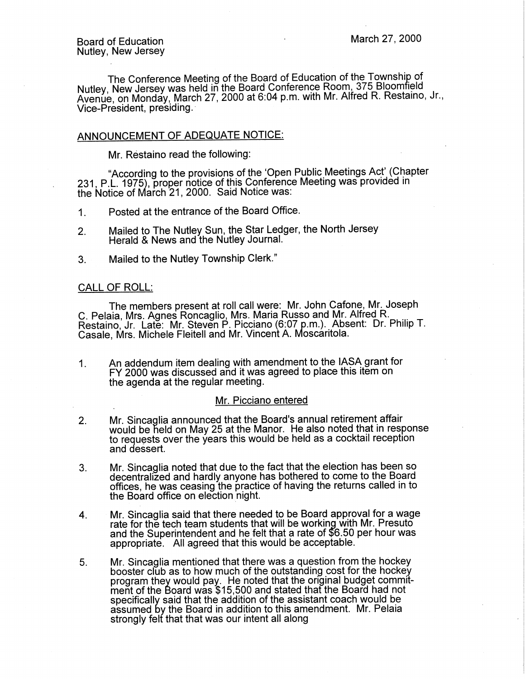The Conference Meeting of the Board of Education of the Township of Nutley, New Jersey was held in the Board Conference Room, 375 Bloomfield Avenue, on Monday, March 27, 2000 at 6:04 p.m. with Mr. Alfred R. Restaino, Jr., Vice-President, presiding.·

# ANNOUNCEMENT OF ADEQUATE NOTICE:

Mr. Restaino read the following:

"According to the provisions of the 'Open Public Meetings Act' (Chapter 231, P.L. 1975), proper notice of this Conference Meeting was provided in the Notice of March 21, 2000. Said Notice was:

1. Posted at the entrance of the Board Office.

- 2. Mailed to The Nutley Sun, the Star Ledger, the North Jersey Herald & News and the Nutley Journal.
- 3. Mailed to the Nutley Township Clerk."

# CALL OF ROLL:

The members present at roll call were: Mr. John Catone, Mr. Joseph C. Pelaia, Mrs. Agnes Roncaglio, Mrs. Maria Russo and Mr. Alfred R. Restaino, Jr. Late: Mr. Steven P. Picciano (6:07 p.m.). Absent: Dr. Philip T. Casale, Mrs. Michele Fleitell and Mr. Vincent A. Moscaritola.

1. An addendum item dealing with amendment to the IASA grant for FY 2000 was discussed and it was agreed to place this item on the agenda at the regular meeting.

#### Mr. Picciano entered

- 2. Mr. Sincaglia announced that the Board's annual retirement affair would be held on May 25 at the Manor. He also noted that in response to requests over the years this would be held as a cocktail reception and dessert.
- 3. Mr. Sincaglia noted that due to the fact that the election has been so decentralized and hardly anyone has bothered to come to the Board offices, he was ceasing the practice of having the returns called in to the Board office on election night.
- 4. Mr. Sincaglia said that there needed to be Board approval for a wage rate for the tech team students that will be working with Mr. Presuto and the Superintendent and he felt that a rate of \$6.50 per hour was appropriate. All agreed that this would be acceptable.
- 5. Mr. Sincaglia mentioned that there was a question from the hockey booster club as to how much of the outstanding cost for the hockey program they would pay. He noted that the original budget commitment of the Board was \$15,500 and stated that the Board had not specifically said that the addition of the assistant coach would be assumed by the Board in addition to this amendment. Mr. Pelaia strongly felt that that was our intent all along